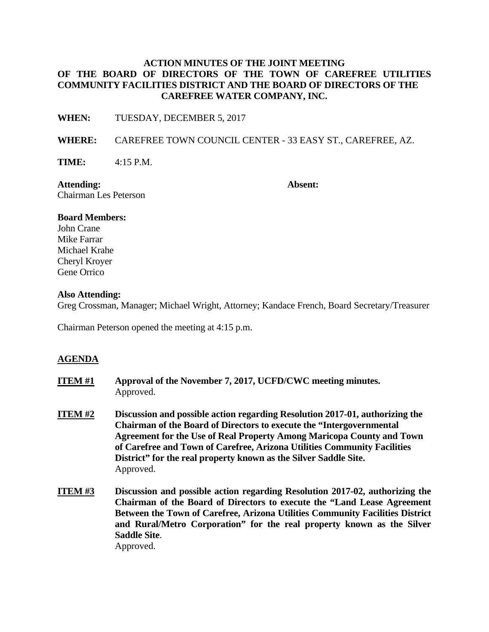## **ACTION MINUTES OF THE JOINT MEETING OF THE BOARD OF DIRECTORS OF THE TOWN OF CAREFREE UTILITIES COMMUNITY FACILITIES DISTRICT AND THE BOARD OF DIRECTORS OF THE CAREFREE WATER COMPANY, INC.**

**WHEN:** TUESDAY, DECEMBER 5, 2017

**WHERE:** CAREFREE TOWN COUNCIL CENTER - 33 EASY ST., CAREFREE, AZ.

**TIME:** 4:15 P.M.

**Attending: Absent:** Chairman Les Peterson

### **Board Members:**

John Crane Mike Farrar Michael Krahe Cheryl Kroyer Gene Orrico

### **Also Attending:**

Greg Crossman, Manager; Michael Wright, Attorney; Kandace French, Board Secretary/Treasurer

Chairman Peterson opened the meeting at 4:15 p.m.

### **AGENDA**

| ITEM #1 | Approval of the November 7, 2017, UCFD/CWC meeting minutes.<br>Approved.                                                                                                                                                                                                                                                                                                                                 |
|---------|----------------------------------------------------------------------------------------------------------------------------------------------------------------------------------------------------------------------------------------------------------------------------------------------------------------------------------------------------------------------------------------------------------|
| ITEM #2 | Discussion and possible action regarding Resolution 2017-01, authorizing the<br><b>Chairman of the Board of Directors to execute the "Intergovernmental</b><br><b>Agreement for the Use of Real Property Among Maricopa County and Town</b><br>of Carefree and Town of Carefree, Arizona Utilities Community Facilities<br>District" for the real property known as the Silver Saddle Site.<br>Approved. |
| ITEM #3 | Discussion and possible action regarding Resolution 2017-02, authorizing th                                                                                                                                                                                                                                                                                                                              |

**ITEM #3 Discussion and possible action regarding Resolution 2017-02, authorizing the Chairman of the Board of Directors to execute the "Land Lease Agreement Between the Town of Carefree, Arizona Utilities Community Facilities District and Rural/Metro Corporation" for the real property known as the Silver Saddle Site**.

Approved.